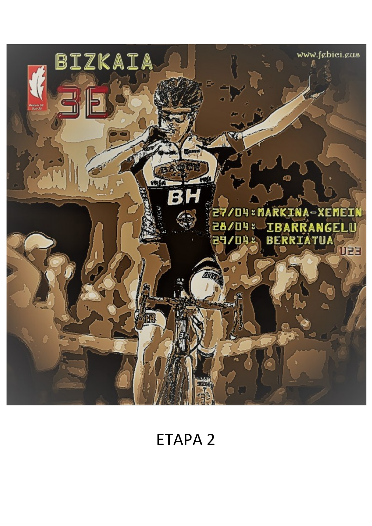

# ETAPA<sub>2</sub>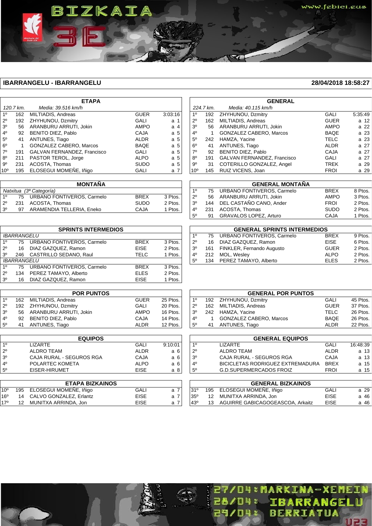www.febici.e<mark>as</mark>

| <b>ETAPA</b>                    |     |                                |             |         |  |
|---------------------------------|-----|--------------------------------|-------------|---------|--|
| 120.7 km.<br>Media: 39.516 km/h |     |                                |             |         |  |
| $1^{\circ}$                     | 162 | MILTIADIS, Andreas             | <b>GUER</b> | 3:03:16 |  |
| $2^{\circ}$                     | 192 | ZHYHUNOU, Dzmitry              | <b>GALI</b> | 1<br>a  |  |
| 3 <sup>0</sup>                  | 56  | ARANBURU ARRUTI, Jokin         | <b>AMPO</b> | 4<br>a  |  |
| 4 <sup>0</sup>                  | 92  | <b>BENITO DIEZ, Pablo</b>      | <b>CAJA</b> | a 5     |  |
| 5 <sup>0</sup>                  | 41  | ANTUNES, Tiago                 | <b>ALDR</b> | a 5     |  |
| $6^{\circ}$                     | 1   | <b>GONZALEZ CABERO, Marcos</b> | <b>BAQE</b> | a 5     |  |
| 70                              | 191 | GALVAN FERNANDEZ, Francisco    | <b>GALI</b> | a 5     |  |
| 8 <sup>0</sup>                  | 211 | PASTOR TEROL, Jorge            | <b>ALPO</b> | a 5     |  |
| $9^{\circ}$                     | 231 | ACOSTA, Thomas                 | <b>SUDO</b> | a 5     |  |
| 10 <sup>o</sup>                 | 195 | ELOSEGUI MOMEÑE, Iñigo         | GALI        | a 7     |  |

BIZKAIA

| <b>MONTAÑA</b>          |    |                               |             |         |  |  |
|-------------------------|----|-------------------------------|-------------|---------|--|--|
| Natxitua (3ª Categoría) |    |                               |             |         |  |  |
| 10                      |    | 75 URBANO FONTIVEROS, Carmelo | <b>BRFX</b> | 3 Ptos. |  |  |
| $2^{\circ}$             |    | 231 ACOSTA, Thomas            | SUDO        | 2 Ptos. |  |  |
| $3^{\circ}$             | 97 | ARAMENDIA TELLERIA, Eneko     | CAJA        | 1 Ptos. |  |  |
|                         |    |                               |             |         |  |  |

| <b>SPRINTS INTERMEDIOS</b>                                     |                    |                            |             |         |  |
|----------------------------------------------------------------|--------------------|----------------------------|-------------|---------|--|
|                                                                | <b>IBARRANGELU</b> |                            |             |         |  |
| 1 <sup>0</sup>                                                 | 75                 | URBANO FONTIVEROS, Carmelo | <b>BREX</b> | 3 Ptos. |  |
| $2^{\circ}$                                                    | 16                 | DIAZ GAZQUEZ, Ramon        | <b>EISE</b> | 2 Ptos. |  |
| CASTRILLO SEDANO, Raul<br>3 <sup>0</sup><br><b>TELC</b><br>246 |                    |                            |             | 1 Ptos. |  |
| <b>IBARRANGELU</b>                                             |                    |                            |             |         |  |
| 10                                                             | 75                 | URBANO FONTIVEROS, Carmelo | <b>BREX</b> | 3 Ptos. |  |
| $2^{\circ}$                                                    | 134                | PEREZ TAMAYO, Alberto      | <b>ELES</b> | 2 Ptos. |  |
| 3 <sup>0</sup>                                                 | 16                 | DIAZ GAZQUEZ, Ramon        | <b>EISE</b> | 1 Ptos. |  |
|                                                                |                    |                            |             |         |  |

| <b>POR PUNTOS</b> |    |                           |             |          |  |  |
|-------------------|----|---------------------------|-------------|----------|--|--|
| $1^{\circ}$       |    | 162 MILTIADIS, Andreas    | <b>GUER</b> | 25 Ptos. |  |  |
| $2^{\circ}$       |    | 192 ZHYHUNOU, Dzmitry     | <b>GALI</b> | 20 Ptos. |  |  |
| 3 <sup>0</sup>    |    | 56 ARANBURU ARRUTI, Jokin | <b>AMPO</b> | 16 Ptos. |  |  |
| $4^{\circ}$       |    | 92 BENITO DIEZ, Pablo     | CAJA        | 14 Ptos. |  |  |
| $5^{\circ}$       | 41 | ANTUNES, Tiago            | <b>ALDR</b> | 12 Ptos. |  |  |

| <b>EQUIPOS</b>         |     |                          |             |                |  |
|------------------------|-----|--------------------------|-------------|----------------|--|
| 1 <sup>0</sup>         |     | <b>LIZARTE</b>           | GALI        | 9:10:01        |  |
| $2^{\circ}$            |     | <b>ALDRO TEAM</b>        | <b>ALDR</b> | a 6            |  |
| 3 <sup>0</sup>         |     | CAJA RURAL - SEGUROS RGA | CAJA        | a 6            |  |
| 4 <sup>0</sup>         |     | POLARTEC KOMETA          | <b>ALPO</b> | a 6            |  |
| 5 <sup>0</sup>         |     | EISER-HIRUMET            | <b>EISE</b> | a 8            |  |
|                        |     |                          |             |                |  |
| <b>ETAPA BIZKAINOS</b> |     |                          |             |                |  |
| 10 <sup>o</sup>        | 195 | ELOSEGUI MOMEÑE, Iñigo   | GALI        | a <sub>7</sub> |  |
| $16^{\circ}$           | 14  | CALVO GONZALEZ, Erlantz  | <b>EISE</b> | a              |  |

17º 12 MUNITXA ARRINDA, Jon EISE a 7

| <b>GENERAL</b>  |           |                                    |             |         |  |
|-----------------|-----------|------------------------------------|-------------|---------|--|
|                 | 224.7 km. | Media: 40.115 km/h                 |             |         |  |
| 1 <sup>0</sup>  | 192       | ZHYHUNOU, Dzmitry                  | <b>GALI</b> | 5:35:49 |  |
| $2^{\circ}$     | 162       | MILTIADIS, Andreas                 | <b>GUER</b> | a 12    |  |
| 3 <sup>0</sup>  | 56        | ARANBURU ARRUTI, Jokin             | <b>AMPO</b> | a 22    |  |
| $4^{\circ}$     | 1         | <b>GONZALEZ CABERO, Marcos</b>     | <b>BAQE</b> | a 23    |  |
| $5^{\circ}$     | 242       | HAMZA, Yacine                      | <b>TELC</b> | a 23    |  |
| $6^{\circ}$     | 41        | ANTUNES, Tiago                     | <b>ALDR</b> | a 27    |  |
| $7^\circ$       | 92        | <b>BENITO DIEZ, Pablo</b>          | <b>CAJA</b> | a 27    |  |
| $8^{\circ}$     | 191       | <b>GALVAN FERNANDEZ, Francisco</b> | GALI        | a 27    |  |
| $9^{\circ}$     | 31        | COTERILLO GONZALEZ, Angel          | <b>TREK</b> | a 29    |  |
| 10 <sup>o</sup> | 145       | RUIZ VICENS, Joan                  | <b>FROI</b> | a 29    |  |

|                | <b>GENERAL MONTAÑA</b> |                               |             |         |  |  |  |
|----------------|------------------------|-------------------------------|-------------|---------|--|--|--|
| 1 <sup>0</sup> | 75                     | URBANO FONTIVEROS, Carmelo    | <b>BREX</b> | 8 Ptos. |  |  |  |
| $2^{\circ}$    | 56.                    | ARANBURU ARRUTI, Jokin        | <b>AMPO</b> | 3 Ptos. |  |  |  |
| 3 <sup>0</sup> |                        | 144 DEL CASTAÑO CANO, Ander   | <b>FROI</b> | 2 Ptos. |  |  |  |
| $4^{\circ}$    | 231                    | ACOSTA, Thomas                | <b>SUDO</b> | 2 Ptos. |  |  |  |
| $5^{\circ}$    | 91                     | <b>GRAVALOS LOPEZ. Arturo</b> | CAJA        | 1 Ptos. |  |  |  |
|                |                        |                               |             |         |  |  |  |

| <b>GENERAL SPRINTS INTERMEDIOS</b> |     |                               |             |         |  |  |
|------------------------------------|-----|-------------------------------|-------------|---------|--|--|
| 10                                 |     | 75 URBANO FONTIVEROS, Carmelo | <b>BREX</b> | 9 Ptos. |  |  |
| $2^{\circ}$                        |     | 16 DIAZ GAZQUEZ, Ramon        | <b>EISE</b> | 6 Ptos. |  |  |
| 3 <sup>0</sup>                     |     | 161 FINKLER, Fernando Augusto | <b>GUER</b> | 2 Ptos. |  |  |
| $4^{\circ}$                        | 212 | MOL, Wesley                   | <b>ALPO</b> | 2 Ptos. |  |  |
| $5^{\circ}$                        |     | 134 PEREZ TAMAYO, Alberto     | <b>ELES</b> | 2 Ptos. |  |  |

| <b>GENERAL POR PUNTOS</b> |    |                                |             |          |  |  |  |
|---------------------------|----|--------------------------------|-------------|----------|--|--|--|
| $1^{\circ}$               |    | 192 ZHYHUNOU, Dzmitry          | GALI        | 45 Ptos. |  |  |  |
| $2^{\circ}$               |    | 162 MILTIADIS, Andreas         | <b>GUER</b> | 37 Ptos. |  |  |  |
| 3 <sup>0</sup>            |    | 242 HAMZA, Yacine              | <b>TELC</b> | 26 Ptos. |  |  |  |
| $4^{\circ}$               |    | <b>GONZALEZ CABERO, Marcos</b> | BAQE        | 26 Ptos. |  |  |  |
| $5^{\circ}$               | 41 | ANTUNES, Tiago                 | <b>ALDR</b> | 22 Ptos. |  |  |  |
|                           |    |                                |             |          |  |  |  |

| <b>GENERAL EQUIPOS</b> |                                  |             |          |  |  |
|------------------------|----------------------------------|-------------|----------|--|--|
| 10                     | I IZARTF                         | GALI        | 16:48:39 |  |  |
| $2^{\circ}$            | ALDRO TEAM                       | <b>ALDR</b> | a 13     |  |  |
| 3 <sup>0</sup>         | CAJA RURAL - SEGUROS RGA         | CAJA        | a 13     |  |  |
| $4^{\circ}$            | BICICLETAS RODRIGUEZ EXTREMADURA | <b>BRFX</b> | a 15     |  |  |
| $5^{\circ}$            | <b>G.D.SUPERMERCADOS FROIZ</b>   | <b>FROI</b> | a 15     |  |  |
|                        |                                  |             |          |  |  |

|     | <b>GENERAL BIZKAINOS</b> |                                     |             |        |  |  |
|-----|--------------------------|-------------------------------------|-------------|--------|--|--|
| 31° |                          | 195 ELOSEGUI MOMEÑE, Iñigo          | GALI        | a 29   |  |  |
| 35° |                          | 12 MUNITXA ARRINDA, Jon             | <b>EISE</b> | a 46 l |  |  |
| 43° |                          | 13 AGUIRRE GABICAGOGEASCOA, Arkaitz | EISE        | a 46   |  |  |

27/04: MARKINA-XEMEIN

28/04: IBARRANGELU<br>29/04: BERRIATUA

**UP3**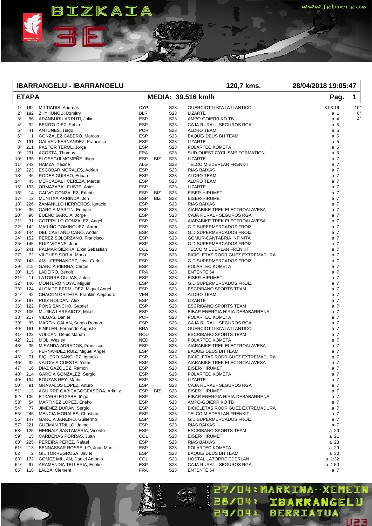**ETAPA MEDIA: 39.516 km/h Pag. 1** 1º 162 MILTIADIS, Andreas CYP S23 GUERCIOTTI-KIWI ATLANTICO 3:03:16 10" 2º 192 ZHYHUNOU, Dzmitry BLR S23 LIZARTE a 1 6" 3º 56 ARANBURU ARRUTI, Jokin ESP S23 AMPO-GOIERRIKO TB a 4 4" 4º 92 BENITO DIEZ, Pablo ESP S23 CAJA RURAL - SEGUROS RGA a 5 5º 41 ANTUNES, Tiago POR S23 ALDRO TEAM a 5 6º 1 GONZALEZ CABERO, Marcos ESP S23 BAQUE/IDEUS BH TEAM a 5 7º 191 GALVAN FERNANDEZ, Francisco ESP S23 LIZARTE a 5 8º 211 PASTOR TEROL, Jorge ESP S23 POLARTEC KOMETA a 5 9º 231 ACOSTA, Thomas FRA S23 SUD-OUEST CYCLISME FORMATION a 5 10º 195 ELOSEGUI MOMEÑE, Iñigo ESP BIZ S23 LIZARTE a 7 11º 242 HAMZA, Yacine ALG ALG S23 TELCO.M EDERLAN FRENKIT<br>12º 223 ESCOBAR MORALES, Adrian ESP S23 RIAS BAIXAS 12º 223 ESCOBAR MORALES, Adrian ESP S23 RIAS BAIXAS a 7 13<sup>9</sup> 13<sup>9</sup> 13<sup>9</sup> 13<sup>9</sup> 13<sup>9</sup> 13<sup>9</sup> 13<sup>9</sup> 13<sup>9</sup> 13<sup>9</sup> 13<sup>9</sup> 13<sup>9</sup> 13<sup>9</sup> 13<sup>9</sup> 13<sup>9</sup> 13<sup>9</sup> 13<sup>9</sup> 13<sup>9</sup> 13<sup>9</sup> 13<sup>9</sup> 13<sup>9</sup> 13<sup>9</sup> 13<sup>9</sup> 13<sup>9</sup> 13<sup>9</sup> 13<sup>9</sup> 13<sup>9</sup> 13<sup>9</sup> 13<sup>9</sup> 13<sup>9</sup> 13<sup>9</sup> 13<sup>9</sup> 13<sup>9</sup> 13<sup>9</sup> 13<sup>9</sup> 13<sup>9</sup> 13<sup>9</sup> 13<sup>9</sup> 14º 45 MERCADAL I CEREZA, Marcal ESP S23 ALDRO TEAM a 7 15º 193 ORMAZABAL FUSTE, Asier **ESP** S23 LIZARTE **a 7** a 7 16º 14 CALVO GONZALEZ, Erlantz ESP BIZ S23 EISER-HIRUMET a 7 17º 12 MUNITXA ARRINDA, Jon ESP BIZ S23 EISER-HIRUMET a 7 18º 226 ZAMANILLO HERREROS, Ignacio 6 ESP S23 RIAS BAIXAS 6 7 ANNO 1991 1991 1992 19º 36 GARCIA MARTIN, Enrique **ESP** S23 AIARABIKE TREK ELECTROALAVESA **a** 7 20º 96 BUENO GARCIA, Jorge ESP S23 CAJA RURAL - SEGUROS RGA a 7 21º 31 COTERILLO GONZALEZ, Angel ESP S23 AIARABIKE TREK ELECTROALAVESA a 7 <sup>142</sup> MARIÑO DOMINGUEZ, Aaron FSP S23 G.D.SUPERMERCADOS FROIZ 23º 144 DEL CASTAÑO CANO, Ander ESP S23 G.D.SUPERMERCADOS FROIZ a 7 24º 152 PEREZ SOLORZANO, Francisco ESP S23 GOMUR-CANTABRIA INFINITA a 7 25º 145 RUIZ VICENS, Joan ESP S23 G.D.SUPERMERCADOS FROIZ a 7 241 PALMAR SIERRA, Elkin Sebastian COL S23 TELCO.M EDERLAN FRENKIT COL a 7 27º 72 VILCHES SORIA, Mario ESP S23 BICICLETAS RODRIGUEZ EXTREMADURA a 7 28º 143 AMIL FERNANDEZ, Jose Carlos ESP S23 G.D.SUPERMERCADOS FROIZ a 7 29º 215 GARCIA PIERNA, Carlos ESP S23 POLARTEC KOMETA a 7 30º 115 LADEIRO, Benoit FRA S23 ENTENTE 64 a 7 31º 11 LATORRE GULIAS, Julen ESP S23 EISER-HIRUMET a 7 32º 146 MONTERO NOYA, Miguel ESP S23 G.D.SUPERMERCADOS FROIZ a 7 33º 124 ALCAIDE BERMUDEZ, Miguel Angel ESP S23 ESCRIBANO SPORTS TEAM a 7 34º 42 CHACON ORTEGA, Franklin Alejandro VEN S23 ALDRO TEAM a 7 35º 197 RUIZ ROLDAN, Alex ESP S23 LIZARTE a 7 36º 122 PONS SANCHO, Gabriel ESP S23 ESCRIBANO SPORTS TEAM a 7 37º 105 MUJIKA LARRAIOTZ, Mikel ESP S23 EIBAR ENERGIA HIRIA-DEBABARRENA a 7 38º 217 VIEGAS, Daniel POR S23 POLARTEC KOMETA a 7 39º 95 MARTIN GALAN, Sergio Roman ESP S23 CAJA RURAL - SEGUROS RGA a 7 40º 161 FINKLER, Fernando Augusto BRA S23 GUERCIOTTI-KIWI ATLANTICO a 7 41º 123 VULCAN, Denis Marian ROU S23 ESCRIBANO SPORTS TEAM a 7 And the South Charles Communist State of the Season Polart Communist Communist Communist Communist Communist C<br>A 79 a 75 MIRANDA ADRADOS, Francisco A 7 SESP S23 AIARABIKE TREK ELECTROALAVESA AIARABIKE TREK ELECTROALAVESA 44º 5 FERNANDEZ RUIZ, Miguel Angel ESP S23 BAQUE/IDEUS BH TEAM a 7 45º 71 PIQUERO SANCHEZ, Ignacio ESP S23 BICICLETAS RODRIGUEZ EXTREMADURA a 7 46º 32 VALDIVIA CUESTA, Yerai ESP S23 AIARABIKE TREK ELECTROALAVESA a 7 47º 16 DIAZ GAZQUEZ, Ramon ESP S23 EISER-HIRUMET a 7 48º 214 GARCIA GONZALEZ, Sergio ESP S23 POLARTEC KOMETA a 7 49º 194 BOUZAS REY, Martin **ESP** S23 LIZARTE **a 7** a 7 50º 91 GRAVALOS LOPEZ, Arturo ESP S23 CAJA RURAL - SEGUROS RGA a 7 51º 13 AGUIRRE GABICAGOGEASCOA, Arkaitz ESP BIZ S23 EISER-HIRUMET a 7 52º 106 ETXARRI ETXABE, Iñigo ESP S23 EIBAR ENERGIA HIRIA-DEBABARRENA a 7 53º 54 MARTINEZ LOPEZ, Eneko ESP S23 AMPO-GOIERRIKO TB a 7 54º 77 JIMENEZ DURAN, Sergio ESP S23 BICICLETAS RODRIGUEZ EXTREMADURA a 7 55º 245 MENCIA MORALES, Christian ESP S23 TELCO.M EDERLAN FRENKIT a 7 56º 147 GARCIA JANEIRO, Guillermo ESP S23 G.D.SUPERMERCADOS FROIZ a 7 57º 221 GUZMAN TRILLO, Jaime ESP S23 RIAS BAIXAS a 7

**IBARRANGELU - IBARRANGELU 120,7 kms. 28/04/2018 19:05:47**

BIZKAIA

**UP3** 

27/04: MARKINA-XEMEIN

28/04: IBARRANGELU

29/D4: BERRIATUA

www.febici.eus

58º 125 HERNAIZ SANTAMARIA, Vicente ESP S23 ESCRIBANO SPORTS TEAM a 20 59º 15 CARDENAS PORRAS, Juan COL S23 EISER-HIRUMET a 21 60º 225 PEREIRA PEREZ, Rafael ESP S23 RIAS BAIXAS a 23 61º 213 BENNASSAR ROSSELLO, Joan Marti ESP S23 POLARTEC KOMETA a 29 62º 2 GIL TORREGROSA, Javier ESP S23 BAQUE/IDEUS BH TEAM a 30 63º 172 GOMEZ MILLAN, Daniel Antonio COL S23 HOSTAL LATORRE EDERLAN a 1:32 64º 97 ARAMENDIA TELLERIA, Eneko ESP S23 CAJA RURAL - SEGUROS RGA a 1:50 65º 116 LALBA, Clement FRA S23 ENTENTE 64 a 7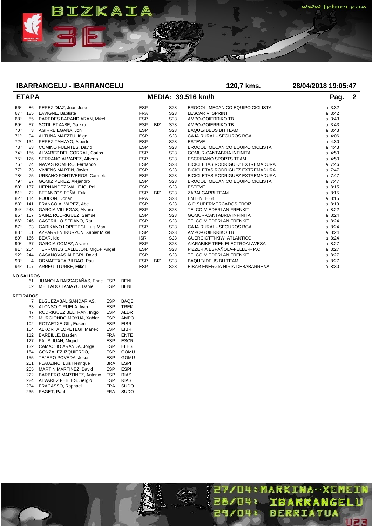**ETAPA MEDIA: 39.516 km/h Pag. 2 IBARRANGELU - IBARRANGELU 120,7 kms. 28/04/2018 19:05:47** 66º 86 PEREZ DIAZ, Juan Jose ESP S23 BROCOLI MECANICO EQUIPO CICLISTA a 3:32 Result of the USCAR V. SPRINT SEXTENDING SEXTENDING BUILDING A 3:42 AMPO-GOIERRING A SASSES ARREST A STAR A 3:43<br>The Same of the Same Same San American Sextending Sextending A 3:43 AMPO-GOIERRING TB 68º 55 PAREDES BARANDIARAN, Mikel ESP S23 AMPO-GOIERRIKO TB a 3:43 69º 57 SOTIL ETXABE, Gaizka ESP BIZ S23 AMPO-GOIERRIKO TB a 3:43 70º 3 AGIRRE EGAÑA, Jon ESP S23 BAQUE/IDEUS BH TEAM a 3:43 71º 94 ALTUNA MAEZTU, Iñigo ESP S23 CAJA RURAL - SEGUROS RGA a 4:06 72º 134 PEREZ TAMAYO, Alberto ESP S23 ESTEVE a 4:30 73º 83 COMINO FUENTES, David ESP S23 BROCOLI MECANICO EQUIPO CICLISTA a 4:43 74º 156 ALVAREZ DEL CORRAL, Carlos ESP S23 GOMUR-CANTABRIA INFINITA a 4:50 75º 126 SERRANO ALVAREZ, Alberto ESP S23 ESCRIBANO SPORTS TEAM a 4:50 76º 74 NAVAS ROMERO, Fernando ESP S23 BICICLETAS RODRIGUEZ EXTREMADURA a 7:46 77º 73 VIVIENS MARTIN, Javier ESP S23 BICICLETAS RODRIGUEZ EXTREMADURA a 7:47 78º 75 URBANO FONTIVEROS, Carmelo ESP S23 BICICLETAS RODRIGUEZ EXTREMADURA a 7:47 79º 87 GOMIZ PEREZ, Alejandro ESP S23 BROCOLI MECANICO EQUIPO CICLISTA a 7:47 80º 137 HERNANDEZ VALLEJO, Pol ESP S23 ESTEVE a 8:15 81º 22 BETANZOS PEÑA, Erik en el especies de la especiesa de la especiesa de la especiesa de la especiesa de l 82º 114 FOULON, Dorian and the Same of the Same Same Scale ENTENTE 64 a 8:15 83º 141 FRANCO ALVAREZ, Abel ESP S23 G.D.SUPERMERCADOS FROIZ a 8:19 84º 243 GARCIA VILLEGAS, Alvaro ESP S23 TELCO.M EDERLAN FRENKIT a 8:22 85º 157 SAINZ RODRIGUEZ, Samuel ESP S23 GOMUR-CANTABRIA INFINITA a 8:24 86º 246 CASTRILLO SEDANO, Raul ESP S23 TELCO.M EDERLAN FRENKIT a 8:24 87º 93 GARIKANO LOPETEGI, Luis Mari ESP S23 CAJA RURAL - SEGUROS RGA a 8:24 88º 51 AZPARREN IRURZUN, Xabier Mikel ESP S23 AMPO-GOIERRIKO TB a 8:24 89º 166 BEAR, Ido ISR S23 GUERCIOTTI-KIWI ATLANTICO a 8:24 90º 37 GARCIA GOMEZ, Alvaro ESP S23 AIARABIKE TREK ELECTROALAVESA a 8:27 91º 204 TERRONES CALLEJON, MIguel Angel ESP S23 PIZZERIA ESPAÑOLA-FELLER- P.C. a 8:27 92º 244 CASANOVAS ALEGRI, David Case Communication CS23 TELCO.M EDERLAN FRENKIT A 8:27 93º 4 ORMAETXEA BILBAO, Paul **ESP BIZ S23 BAQUE/IDEUS BH TEAM a 8:27** 94º 107 ARREGI ITURBE, Mikel ESP S23 EIBAR ENERGIA HIRIA-DEBABARRENA a 8:30 **NO SALIDOS** 61 JUANOLA BASSAGAÑAS, Enric ESP BENI

www.febici.eus

27/04: MARKINA-XEMEIN 28/04: IBARRANGELU

29/04:

**BERRIATUA** 

**UP3** 

| <b>RETIRADOS</b> |                                 |     |      |
|------------------|---------------------------------|-----|------|
|                  | 62 MELLADO TAMAYO, Daniel       | ESP | BENI |
|                  | 61 JUANOLA BASSAGANAS, ENNC ESP |     | BENI |

BIZKAIA

| 7   | ELGUEZABAL GANDARIAS,     | ESP        | BAQE        |
|-----|---------------------------|------------|-------------|
| 33  | ALONSO CIRUELA, Ivan      | ESP        | <b>TREK</b> |
| 47  | RODRIGUEZ BELTRAN, Iñigo  | <b>ESP</b> | ALDR        |
| 52  | MURGIONDO MOYUA, Xabier   | <b>ESP</b> | <b>AMPO</b> |
| 102 | ROTAETXE GIL. Eukeni      | ESP        | <b>EIBR</b> |
| 104 | ALKORTA LOPETEGI, Manex   | ESP        | <b>EIBR</b> |
| 112 | <b>BAREILLE, Bastien</b>  | FRA        | <b>ENTE</b> |
| 127 | FAUS JUAN, Miquel         | <b>ESP</b> | <b>ESCR</b> |
| 132 | CAMACHO ARANDA, Jorge     | ESP        | <b>ELES</b> |
| 154 | GONZALEZ IZQUIERDO.       | ESP        | <b>GOMU</b> |
| 155 | TEJERO POVEDA, Jesus      | <b>ESP</b> | <b>GOMU</b> |
| 201 | FLAUZINO. Luis Henrique   | <b>BRA</b> | <b>ESPI</b> |
| 205 | MARTIN MARTINEZ, David    | ESP        | <b>ESPI</b> |
| 222 | BARBERO MARTINEZ, Antonio | <b>ESP</b> | <b>RIAS</b> |
| 224 | ALVAREZ FEBLES, Sergio    | ESP        | <b>RIAS</b> |
| 234 | FRACASSO, Raphael         | FRA        | <b>SUDO</b> |
| 235 | PAGET. Paul               | FRA        | <b>SUDO</b> |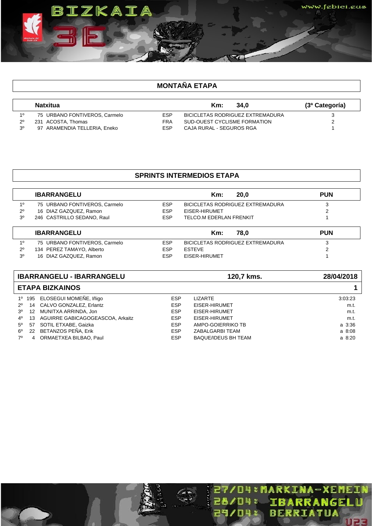## **MONTAÑA ETAPA**

BIZKAIA

 $\begin{bmatrix} \phantom{-} \end{bmatrix}$ 

|             | <b>Natxitua</b>               |            | 34.0<br>Km:                      | (3ª Categoría) |
|-------------|-------------------------------|------------|----------------------------------|----------------|
| 10          | 75 URBANO FONTIVEROS, Carmelo | <b>ESP</b> | BICICLETAS RODRIGUEZ EXTREMADURA |                |
| $2^{\circ}$ | 231 ACOSTA, Thomas            | <b>FRA</b> | SUD-OUEST CYCLISME FORMATION     |                |
| -20         | 97 ARAMENDIA TELLERIA, Eneko  | <b>FSP</b> | CAJA RURAL - SEGUROS RGA         |                |

#### **SPRINTS INTERMEDIOS ETAPA**

|                | <b>IBARRANGELU</b>            |            | 20.0<br>Km:                      | <b>PUN</b> |
|----------------|-------------------------------|------------|----------------------------------|------------|
| $1^{\circ}$    | 75 URBANO FONTIVEROS, Carmelo | <b>ESP</b> | BICICLETAS RODRIGUEZ EXTREMADURA | 3          |
| $2^{\circ}$    | 16 DIAZ GAZQUEZ, Ramon        | <b>ESP</b> | EISER-HIRUMET                    | ے          |
| 3 <sup>0</sup> | 246 CASTRILLO SEDANO, Raul    | <b>ESP</b> | TELCO.M EDERLAN FRENKIT          |            |
|                | <b>IBARRANGELU</b>            |            | 78.0<br>Km:                      | <b>PUN</b> |
| 1 <sup>0</sup> | 75 URBANO FONTIVEROS, Carmelo | <b>ESP</b> | BICICLETAS RODRIGUEZ EXTREMADURA | 3          |
| $2^{\circ}$    | 134 PEREZ TAMAYO, Alberto     | <b>ESP</b> | <b>ESTEVE</b>                    |            |
| 30             | 16 DIAZ GAZQUEZ, Ramon        | <b>ESP</b> | EISER-HIRUMET                    |            |

|             | <b>IBARRANGELU - IBARRANGELU</b> |                                  |            | 120,7 kms.                 | 28/04/2018  |
|-------------|----------------------------------|----------------------------------|------------|----------------------------|-------------|
|             |                                  | <b>ETAPA BIZKAINOS</b>           |            |                            |             |
|             |                                  | 1º 195 ELOSEGUI MOMEÑE, Iñigo    | <b>ESP</b> | <b>LIZARTE</b>             | 3:03:23     |
| $2^{\circ}$ |                                  | 14 CALVO GONZALEZ, Erlantz       | <b>ESP</b> | EISER-HIRUMET              | m.t.        |
| $3^\circ$   | 12                               | MUNITXA ARRINDA, Jon             | <b>ESP</b> | EISER-HIRUMET              | m.t.        |
| $4^{\circ}$ | 13                               | AGUIRRE GABICAGOGEASCOA, Arkaitz | <b>ESP</b> | EISER-HIRUMET              | m.t.        |
| $5^{\circ}$ | 57                               | SOTIL ETXABE, Gaizka             | <b>ESP</b> | AMPO-GOIERRIKO TB          | a 3:36      |
| $6^{\circ}$ |                                  | 22 BETANZOS PEÑA, Erik           | <b>ESP</b> | ZABALGARBI TEAM            | a 8:08      |
| $7^\circ$   |                                  | 4 ORMAETXEA BILBAO, Paul         | <b>ESP</b> | <b>BAQUE/IDEUS BH TEAM</b> | $a \, 8:20$ |

27/04:MARKINA-XEMEIN

www.febici.ea<mark>s</mark>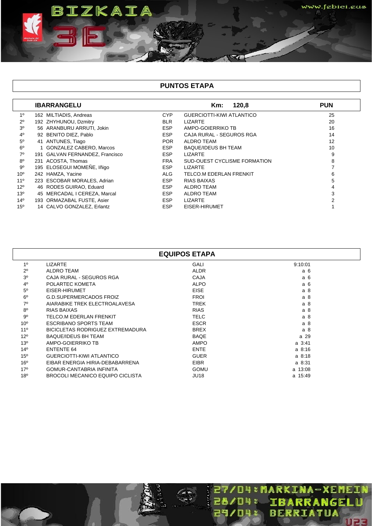**PUNTOS ETAPA**

BIZKAIA

www.febici.ea<mark>s</mark>

27/04:MARKINA-XEMEIN

**28/D4%** 29/04%

**IBARRANGELU**<br>BERRIATUA

**DES** 

|                | <b>IBARRANGELU</b>              |            | 120,8<br>Km:                        | <b>PUN</b> |
|----------------|---------------------------------|------------|-------------------------------------|------------|
| $1^{\circ}$    | 162 MILTIADIS, Andreas          | <b>CYP</b> | GUERCIOTTI-KIWI ATLANTICO           | 25         |
| $2^{\circ}$    | 192 ZHYHUNOU, Dzmitry           | <b>BLR</b> | <b>LIZARTE</b>                      | 20         |
| 3 <sup>o</sup> | 56 ARANBURU ARRUTI, Jokin       | <b>ESP</b> | AMPO-GOIERRIKO TB                   | 16         |
| $4^{\circ}$    | 92 BENITO DIEZ, Pablo           | <b>ESP</b> | CAJA RURAL - SEGUROS RGA            | 14         |
| $5^{\circ}$    | 41 ANTUNES, Tiago               | <b>POR</b> | <b>ALDRO TEAM</b>                   | 12         |
| $6^{\circ}$    | 1 GONZALEZ CABERO, Marcos       | <b>ESP</b> | <b>BAQUE/IDEUS BH TEAM</b>          | 10         |
| $7^\circ$      | 191 GALVAN FERNANDEZ, Francisco | <b>ESP</b> | <b>LIZARTE</b>                      | 9          |
| $8^{\circ}$    | 231 ACOSTA, Thomas              | <b>FRA</b> | <b>SUD-OUEST CYCLISME FORMATION</b> | 8          |
| 9°             | 195 ELOSEGUI MOMEÑE, Iñigo      | <b>ESP</b> | <b>LIZARTE</b>                      |            |
| $10^{\circ}$   | 242 HAMZA, Yacine               | ALG        | TELCO.M EDERLAN FRENKIT             | 6          |
| $11^{\circ}$   | 223 ESCOBAR MORALES, Adrian     | <b>ESP</b> | <b>RIAS BAIXAS</b>                  | 5          |
| $12^{\circ}$   | 46 RODES GUIRAO, Eduard         | <b>ESP</b> | <b>ALDRO TEAM</b>                   | 4          |
| 13°            | 45 MERCADAL I CEREZA, Marcal    | <b>ESP</b> | <b>ALDRO TEAM</b>                   | 3          |
| $14^{\circ}$   | 193 ORMAZABAL FUSTE, Asier      | <b>ESP</b> | <b>LIZARTE</b>                      | 2          |
| $15^{\circ}$   | 14 CALVO GONZALEZ, Erlantz      | <b>ESP</b> | EISER-HIRUMET                       |            |

|                 | <b>EQUIPOS ETAPA</b>             |             |                |  |  |  |  |  |
|-----------------|----------------------------------|-------------|----------------|--|--|--|--|--|
| 1 <sup>0</sup>  | <b>LIZARTE</b>                   | <b>GALI</b> | 9:10:01        |  |  |  |  |  |
| $2^{\circ}$     | <b>ALDRO TEAM</b>                | <b>ALDR</b> | a 6            |  |  |  |  |  |
| 3 <sup>o</sup>  | CAJA RURAL - SEGUROS RGA         | CAJA        | a <sub>6</sub> |  |  |  |  |  |
| $4^{\circ}$     | POLARTEC KOMETA                  | <b>ALPO</b> | a 6            |  |  |  |  |  |
| $5^{\circ}$     | EISER-HIRUMET                    | <b>EISE</b> | a <sub>8</sub> |  |  |  |  |  |
| $6^{\circ}$     | G.D.SUPERMERCADOS FROIZ          | <b>FROI</b> | a <sub>8</sub> |  |  |  |  |  |
| $7^\circ$       | AIARABIKE TREK ELECTROALAVESA    | <b>TREK</b> | a <sub>8</sub> |  |  |  |  |  |
| $8^{\circ}$     | RIAS BAIXAS                      | <b>RIAS</b> | a <sub>8</sub> |  |  |  |  |  |
| $9^{\circ}$     | TELCO.M EDERLAN FRENKIT          | <b>TELC</b> | a <sub>8</sub> |  |  |  |  |  |
| 10 <sup>o</sup> | <b>ESCRIBANO SPORTS TEAM</b>     | <b>ESCR</b> | a 8            |  |  |  |  |  |
| 11 <sup>0</sup> | BICICLETAS RODRIGUEZ EXTREMADURA | <b>BREX</b> | a <sub>8</sub> |  |  |  |  |  |
| 12°             | <b>BAQUE/IDEUS BH TEAM</b>       | <b>BAQE</b> | a 29           |  |  |  |  |  |
| $13^\circ$      | AMPO-GOIERRIKO TB                | <b>AMPO</b> | $a \, 3:41$    |  |  |  |  |  |
| $14^{\circ}$    | <b>ENTENTE 64</b>                | <b>ENTE</b> | $a \t3:16$     |  |  |  |  |  |
| 15 <sup>o</sup> | GUERCIOTTI-KIWI ATLANTICO        | <b>GUER</b> | a.8:18         |  |  |  |  |  |
| 16°             | EIBAR ENERGIA HIRIA-DEBABARRENA  | <b>EIBR</b> | a 8:31         |  |  |  |  |  |
| 17 <sup>°</sup> | GOMUR-CANTABRIA INFINITA         | <b>GOMU</b> | a 13:08        |  |  |  |  |  |
| 18 <sup>o</sup> | BROCOLI MECANICO EQUIPO CICLISTA | <b>JU18</b> | a 15:49        |  |  |  |  |  |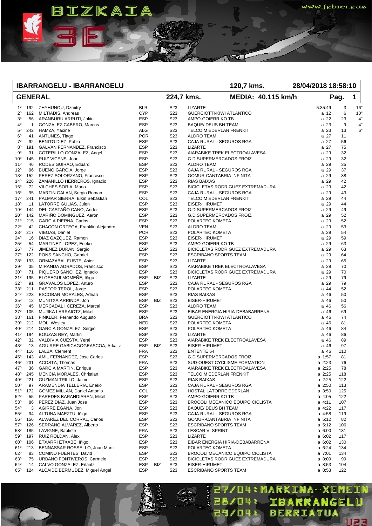#### **GENERAL MEDIA: 40.115 km/h Pag. 1 IBARRANGELU - IBARRANGELU 120,7 kms. 224,7 kms. 28/04/2018 18:58:10** 1º 192 ZHYHUNOU, Dzmitry BLR S23 LIZARTE 5:35:49 3 16" 2º 162 MILTIADIS, Andreas CYP S23 GUERCIOTTI-KIWI ATLANTICO a 12 6 10" 3º 56 ARANBURU ARRUTI, Jokin ESP S23 AMPO-GOIERRIKO TB a 22 23 4" 4º 1 GONZALEZ CABERO, Marcos ESP S23 BAQUE/IDEUS BH TEAM a 23 9 4" 5º 242 HAMZA, Yacine **ALG S23 TELCO.M EDERLAN FRENKIT** AND A 23 13 6<sup>"</sup> 6º 41 ANTUNES, Tiago POR S23 ALDRO TEAM a 27 11 7º 92 BENITO DIEZ, Pablo ESP S23 CAJA RURAL - SEGUROS RGA a 27 56 8º 191 GALVAN FERNANDEZ, Francisco ESP S23 LIZARTE a 27 75 91 COTERILLO GONZALEZ, Angel **ESP** S23 AIARABIKE TREK ELECTROALAVESA **a** 29 32 10º 145 RUIZ VICENS, Joan ESP S23 G.D.SUPERMERCADOS FROIZ a 29 32 11º 46 RODES GUIRAO, Eduard ESP S23 ALDRO TEAM a 29 35 12º 96 BUENO GARCIA, Jorge ESP S23 CAJA RURAL - SEGUROS RGA a 29 37 13º 152 PEREZ SOLORZANO, Francisco ESP S23 GOMUR-CANTABRIA INFINITA a 29 38 14º 226 ZAMANILLO HERREROS, Ignacio ESP S23 RIAS BAIXAS a 29 42 15º 72 VILCHES SORIA, Mario ESP S23 BICICLETAS RODRIGUEZ EXTREMADURA a 29 42 16º 95 MARTIN GALAN, Sergio Roman ESP S23 CAJA RURAL - SEGUROS RGA a 29 43 17º 241 PALMAR SIERRA, Elkin Sebastian COL S23 TELCO.M EDERLAN FRENKIT CHE COL 39 44 18º 11 LATORRE GULIAS, Julen Carrier Communication Communication Communication Communication Communication Communication Communication Communication Communication Communication Communication Communication Communication Com 19º 144 DEL CASTAÑO CANO, Ander ESP S23 G.D.SUPERMERCADOS FROIZ a 29 49 20º 142 MARIÑO DOMINGUEZ, Aaron ESP S23 G.D.SUPERMERCADOS FROIZ a 29 52 21º 215 GARCIA PIERNA, Carlos ESP S23 POLARTEC KOMETA a 29 52 22º 42 CHACON ORTEGA, Franklin Alejandro VEN S23 ALDRO TEAM a 29 53 23º 217 VIEGAS, Daniel **23** POR S23 POLARTEC KOMETA **a 29 54** a 29 54 24º 16 DIAZ GAZQUEZ, Ramon ESP S23 EISER-HIRUMET a 29 59 25º 54 MARTINEZ LOPEZ, Eneko ESP S23 AMPO-GOIERRIKO TB a 29 63 26º 77 JIMENEZ DURAN, Sergio ESP S23 BICICLETAS RODRIGUEZ EXTREMADURA a 29 63 27º 122 PONS SANCHO, Gabriel ESP S23 ESCRIBANO SPORTS TEAM a 29 64 28º 193 ORMAZABAL FUSTE, Asier **ESP** S23 LIZARTE **a 29 65** a 29 65 29º 35 MIRANDA ADRADOS, Francisco ESP S23 AIARABIKE TREK ELECTROALAVESA a 29 70 30º 71 PIQUERO SANCHEZ, Ignacio ESP S23 BICICLETAS RODRIGUEZ EXTREMADURA a 29 70 31º 195 ELOSEGUI MOMEÑE, Iñigo ESP BIZ S23 LIZARTE a 29 79 32º 91 GRAVALOS LOPEZ, Arturo ESP S23 CAJA RURAL - SEGUROS RGA a 29 79 33º 211 PASTOR TEROL, Jorge ESP S23 POLARTEC KOMETA a 44 52 34º 223 ESCOBAR MORALES, Adrian ESP S23 RIAS BAIXAS a 46 50 35º 12 MUNITXA ARRINDA, Jon ESP BIZ S23 EISER-HIRUMET a 46 50 36º 45 MERCADAL I CEREZA, Marcal ESP S23 ALDRO TEAM a 46 56 37º 105 MUJIKA LARRAIOTZ, Mikel ESP S23 EIBAR ENERGIA HIRIA-DEBABARRENA a 46 69 38º 161 FINKLER, Fernando Augusto BRA S23 GUERCIOTTI-KIWI ATLANTICO a 46 74 39º 212 MOL, Wesley **NED** S23 POLARTEC KOMETA **CONETA** a 46 81 40º 214 GARCIA GONZALEZ, Sergio ESP S23 POLARTEC KOMETA a 46 84

www.febici.eus

BIZKAIA

| 41°          | 194 | BOUZAS REY, Martin               | <b>ESP</b> |            | S23             | <b>LIZARTE</b>                   | a 46        | 86  |  |
|--------------|-----|----------------------------------|------------|------------|-----------------|----------------------------------|-------------|-----|--|
| 42°          | 32  | VALDIVIA CUESTA, Yerai           | <b>ESP</b> |            | S23             | AIARABIKE TREK ELECTROALAVESA    | a 46        | 89  |  |
| 43°          | 13  | AGUIRRE GABICAGOGEASCOA, Arkaitz | ESP        | <b>BIZ</b> | S23             | EISER-HIRUMET                    | a 46        | 97  |  |
| 44°          | 116 | LALBA, Clement                   | <b>FRA</b> |            | S23             | <b>ENTENTE 64</b>                | a 46        | 110 |  |
| 45°          | 143 | AMIL FERNANDEZ, Jose Carlos      | <b>ESP</b> |            | S23             | G.D.SUPERMERCADOS FROIZ          | a 1:57      | 81  |  |
| 46°          | 231 | ACOSTA, Thomas                   | <b>FRA</b> |            | S23             | SUD-OUEST CYCLISME FORMATION     | $a \; 2:23$ | 76  |  |
| 47°          | 36  | <b>GARCIA MARTIN, Enrique</b>    | <b>ESP</b> |            | S23             | AIARABIKE TREK ELECTROALAVESA    | a 2:25      | 78  |  |
| 48°          | 245 | MENCIA MORALES, Christian        | <b>ESP</b> |            | S23             | TELCO.M EDERLAN FRENKIT          | $a \; 2:25$ | 118 |  |
| 49°          | 221 | <b>GUZMAN TRILLO, Jaime</b>      | <b>ESP</b> |            | S23             | <b>RIAS BAIXAS</b>               | a 2:25      | 122 |  |
| $50^{\circ}$ | 97  | ARAMENDIA TELLERIA, Eneko        | <b>ESP</b> |            | S23             | CAJA RURAL - SEGUROS RGA         | $a \; 2:50$ | 113 |  |
| $51^{\circ}$ | 172 | GOMEZ MILLAN, Daniel Antonio     | COL        |            | S23             | HOSTAL LATORRE EDERLAN           | $a \, 3:50$ | 125 |  |
| $52^{\circ}$ | 55  | PAREDES BARANDIARAN, Mikel       | <b>ESP</b> |            | S23             | AMPO-GOIERRIKO TB                | a 4:05      | 122 |  |
| 53°          | 86  | PEREZ DIAZ, Juan Jose            | <b>ESP</b> |            | S23             | BROCOLI MECANICO EQUIPO CICLISTA | $a$ 4:11    | 107 |  |
| 54°          | 3   | AGIRRE EGAÑA, Jon                | <b>ESP</b> |            | S23             | <b>BAQUE/IDEUS BH TEAM</b>       | a 4:22      | 117 |  |
| $55^{\circ}$ | 94  | ALTUNA MAEZTU, Iñigo             | <b>ESP</b> |            | S23             | CAJA RURAL - SEGUROS RGA         | a 4:58      | 119 |  |
| $56^{\circ}$ | 156 | ALVAREZ DEL CORRAL, Carlos       | <b>ESP</b> |            | S23             | GOMUR-CANTABRIA INFINITA         | $a \t 5:12$ | 82  |  |
| 57°          | 126 | SERRANO ALVAREZ, Alberto         | <b>ESP</b> |            | S23             | <b>ESCRIBANO SPORTS TEAM</b>     | $a \t 5:12$ | 106 |  |
| 58°          | 185 | LAVIGNE, Baptiste                | <b>FRA</b> |            | S23             | LESCAR V. SPRINT                 | a 6:00      | 131 |  |
| 59°          | 197 | RUIZ ROLDAN, Alex                | <b>ESP</b> |            | S23             | <b>LIZARTE</b>                   | a 6:02      | 117 |  |
| $60^{\circ}$ | 106 | ETXARRI ETXABE, Iñigo            | <b>ESP</b> |            | S <sub>23</sub> | EIBAR ENERGIA HIRIA-DEBABARRENA  | a 6:02      | 130 |  |
| 61°          | 213 | BENNASSAR ROSSELLO, Joan Marti   | <b>ESP</b> |            | S23             | POLARTEC KOMETA                  | $a \t6:24$  | 134 |  |
| $62^{\circ}$ | 83  | COMINO FUENTES, David            | <b>ESP</b> |            | S23             | BROCOLI MECANICO EQUIPO CICLISTA | a 7:01      | 134 |  |
| $63^{\circ}$ | 75  | URBANO FONTIVEROS, Carmelo       | <b>ESP</b> |            | S23             | BICICLETAS RODRIGUEZ EXTREMADURA | a 8:09      | 99  |  |
| 64°          | 14  | CALVO GONZALEZ, Erlantz          | <b>ESP</b> | <b>BIZ</b> | S23             | EISER-HIRUMET                    | a 8:53      | 104 |  |
| $65^{\circ}$ | 124 | ALCAIDE BERMUDEZ, Miguel Angel   | <b>ESP</b> |            | S23             | <b>ESCRIBANO SPORTS TEAM</b>     | a 8:53      | 122 |  |
|              |     |                                  |            |            |                 |                                  |             |     |  |

27/04: MARKINA-XEMEIN

28/04: IBARRANGELU

29/04:

**BERRIATUA** 

**UP3**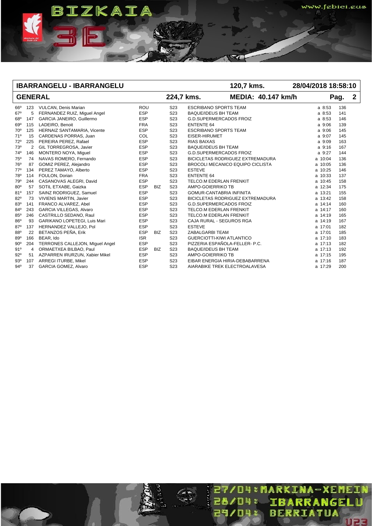|                 | <b>IBARRANGELU - IBARRANGELU</b> |                                 |            |            |                 |                            | 120,7 kms.                              | 28/04/2018 18:58:10 |      |              |
|-----------------|----------------------------------|---------------------------------|------------|------------|-----------------|----------------------------|-----------------------------------------|---------------------|------|--------------|
|                 |                                  | <b>GENERAL</b>                  |            |            |                 | 224,7 kms.                 | <b>MEDIA: 40.147 km/h</b>               |                     | Pag. | $\mathbf{2}$ |
| 66°             | 123                              | <b>VULCAN. Denis Marian</b>     | <b>ROU</b> |            | S <sub>23</sub> |                            | <b>ESCRIBANO SPORTS TEAM</b>            | a 8:53              | 136  |              |
| $67^\circ$      | 5                                | FERNANDEZ RUIZ, Miguel Angel    | <b>ESP</b> |            | S <sub>23</sub> | <b>BAQUE/IDEUS BH TEAM</b> |                                         | $a$ 8:53            | 141  |              |
| $68^{\circ}$    | 147                              | GARCIA JANEIRO, Guillermo       | <b>ESP</b> |            | S <sub>23</sub> |                            | <b>G.D.SUPERMERCADOS FROIZ</b>          | a 8:53              | 146  |              |
| 69°             | 115                              | LADEIRO, Benoit                 | <b>FRA</b> |            | S <sub>23</sub> | <b>ENTENTE 64</b>          |                                         | a 9:06              | 139  |              |
| 70°             | 125                              | HERNAIZ SANTAMARIA, Vicente     | <b>ESP</b> |            | S <sub>23</sub> |                            | <b>ESCRIBANO SPORTS TEAM</b>            | a 9:06              | 145  |              |
| 71°             | 15                               | CARDENAS PORRAS, Juan           | COL        |            | S <sub>23</sub> | EISER-HIRUMET              |                                         | a 9:07              | 145  |              |
| 72°             | 225                              | PEREIRA PEREZ, Rafael           | <b>ESP</b> |            | S <sub>23</sub> | <b>RIAS BAIXAS</b>         |                                         | a 9:09              | 163  |              |
| 73°             | $\overline{2}$                   | GIL TORREGROSA, Javier          | <b>ESP</b> |            | S <sub>23</sub> | <b>BAQUE/IDEUS BH TEAM</b> |                                         | a 9:16              | 167  |              |
| 74°             | 146                              | MONTERO NOYA, Miquel            | <b>ESP</b> |            | S <sub>23</sub> |                            | <b>G.D.SUPERMERCADOS FROIZ</b>          | a 9:27              | 144  |              |
| 75°             | 74                               | NAVAS ROMERO, Fernando          | <b>ESP</b> |            | S <sub>23</sub> |                            | BICICLETAS RODRIGUEZ EXTREMADURA        | a 10:04             | 136  |              |
| 76°             | 87                               | GOMIZ PEREZ, Alejandro          | <b>ESP</b> |            | S <sub>23</sub> |                            | BROCOLI MECANICO EQUIPO CICLISTA        | a 10:05             | 136  |              |
| $77^\circ$      | 134                              | PEREZ TAMAYO, Alberto           | <b>ESP</b> |            | S <sub>23</sub> | <b>ESTEVE</b>              |                                         | a 10:25             | 146  |              |
| 78°             | 114                              | FOULON, Dorian                  | <b>FRA</b> |            | S <sub>23</sub> | <b>ENTENTE 64</b>          |                                         | a 10:33             | 137  |              |
| 79°             | 244                              | CASANOVAS ALEGRI, David         | <b>ESP</b> |            | S <sub>23</sub> |                            | TELCO.M EDERLAN FRENKIT                 | a 10:45             | 158  |              |
| 80 <sup>o</sup> | 57                               | SOTIL ETXABE, Gaizka            | <b>ESP</b> | <b>BIZ</b> | S <sub>23</sub> | AMPO-GOIERRIKO TB          |                                         | a 12:34             | 175  |              |
| 81°             | 157                              | SAINZ RODRIGUEZ, Samuel         | <b>ESP</b> |            | S <sub>23</sub> |                            | <b>GOMUR-CANTABRIA INFINITA</b>         | a 13:21             | 155  |              |
| 82°             | 73                               | <b>VIVIENS MARTIN, Javier</b>   | <b>ESP</b> |            | S <sub>23</sub> |                            | <b>BICICLETAS RODRIGUEZ EXTREMADURA</b> | a 13:42             | 158  |              |
| 83°             | 141                              | FRANCO ALVAREZ, Abel            | <b>ESP</b> |            | S <sub>23</sub> |                            | <b>G.D.SUPERMERCADOS FROIZ</b>          | a 14:14             | 160  |              |
| 84°             | 243                              | GARCIA VILLEGAS, Alvaro         | <b>ESP</b> |            | S <sub>23</sub> |                            | TELCO.M EDERLAN FRENKIT                 | a 14:17             | 160  |              |
| $85^\circ$      | 246                              | CASTRILLO SEDANO, Raul          | <b>ESP</b> |            | S <sub>23</sub> |                            | TELCO.M EDERLAN FRENKIT                 | a 14:19             | 165  |              |
| 86°             | 93                               | GARIKANO LOPETEGI, Luis Mari    | <b>ESP</b> |            | S <sub>23</sub> |                            | CAJA RURAL - SEGUROS RGA                | a 14:19             | 167  |              |
| 87°             | 137                              | HERNANDEZ VALLEJO. Pol          | <b>ESP</b> |            | S <sub>23</sub> | <b>ESTEVE</b>              |                                         | a 17:01             | 182  |              |
| 880             | 22                               | BETANZOS PEÑA, Erik             | <b>ESP</b> | <b>BIZ</b> | S <sub>23</sub> | ZABALGARBI TEAM            |                                         | a 17:01             | 185  |              |
| 89°             | 166                              | BEAR, Ido                       | <b>ISR</b> |            | S <sub>23</sub> |                            | <b>GUERCIOTTI-KIWI ATLANTICO</b>        | a 17:10             | 183  |              |
| $90^{\circ}$    | 204                              | TERRONES CALLEJON, Miguel Angel | <b>ESP</b> |            | S23             |                            | PIZZERIA ESPAÑOLA-FELLER- P.C.          | a 17:13             | 182  |              |
| 91°             | 4                                | ORMAETXEA BILBAO, Paul          | <b>ESP</b> | <b>BIZ</b> | S <sub>23</sub> | <b>BAQUE/IDEUS BH TEAM</b> |                                         | a 17:13             | 192  |              |
| 92°             | 51                               | AZPARREN IRURZUN, Xabier Mikel  | <b>ESP</b> |            | S <sub>23</sub> | AMPO-GOIERRIKO TB          |                                         | a 17:15             | 195  |              |
| $93^{\circ}$    | 107                              | ARREGI ITURBE, Mikel            | <b>ESP</b> |            | S <sub>23</sub> |                            | EIBAR ENERGIA HIRIA-DEBABARRENA         | a 17:16             | 187  |              |
| 94°             | 37                               | GARCIA GOMEZ, Alvaro            | <b>ESP</b> |            | S <sub>23</sub> |                            | AIARABIKE TREK ELECTROALAVESA           | a 17:29             | 200  |              |

BIZKAIA

# IBARRANGELU<br>BERRIATUA

27/04: MARKINA-XEMEIN

**28/04%** 29/04: www.fgbici.gas

JU23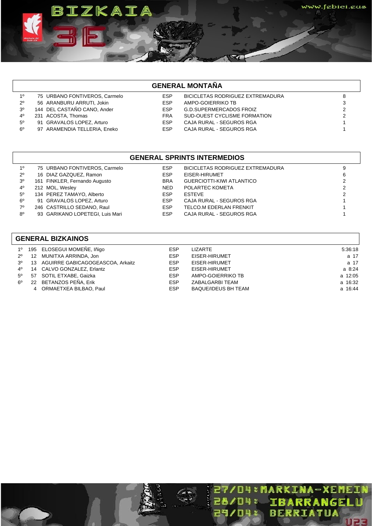

#### **GENERAL SPRINTS INTERMEDIOS**

| 1 <sup>0</sup> | 75 URBANO FONTIVEROS, Carmelo   | <b>ESP</b> | BICICLETAS RODRIGUEZ EXTREMADURA | 9 |
|----------------|---------------------------------|------------|----------------------------------|---|
| $2^{\circ}$    | 16 DIAZ GAZQUEZ, Ramon          | <b>ESP</b> | EISER-HIRUMET                    | 6 |
| 3 <sup>o</sup> | 161 FINKLER, Fernando Augusto   | <b>BRA</b> | <b>GUERCIOTTI-KIWI ATLANTICO</b> | 2 |
| $4^{\circ}$    | 212 MOL, Wesley                 | NED.       | POLARTEC KOMETA                  | 2 |
| $5^{\circ}$    | 134 PEREZ TAMAYO, Alberto       | <b>ESP</b> | <b>ESTEVE</b>                    | 2 |
| $6^{\circ}$    | 91 GRAVALOS LOPEZ, Arturo       | <b>ESP</b> | CAJA RURAL - SEGUROS RGA         |   |
| $7^\circ$      | 246 CASTRILLO SEDANO, Raul      | <b>ESP</b> | <b>TELCO.M EDERLAN FRENKIT</b>   |   |
| $8^{\circ}$    | 93 GARIKANO LOPETEGI, Luis Mari | <b>ESP</b> | CAJA RURAL - SEGUROS RGA         |   |
|                |                                 |            |                                  |   |

#### **GENERAL BIZKAINOS**

BIZKAIA

| $1^{\circ}$    | 195 ELOSEGUI MOMEÑE, Iñigo          | <b>ESP</b> | LIZARTE                    | 5:36:18 |
|----------------|-------------------------------------|------------|----------------------------|---------|
| $2^{\circ}$    | 12 MUNITXA ARRINDA, Jon             | <b>ESP</b> | EISER-HIRUMET              | a 17    |
| 3 <sup>o</sup> | 13 AGUIRRE GABICAGOGEASCOA, Arkaitz | <b>ESP</b> | EISER-HIRUMET              | a 17    |
| 4°             | 14 CALVO GONZALEZ, Erlantz          | <b>ESP</b> | EISER-HIRUMET              | a 8:24  |
| $5^\circ$      | 57 SOTIL ETXABE, Gaizka             | <b>ESP</b> | AMPO-GOIERRIKO TB          | a 12:05 |
| $6^{\circ}$    | 22 BETANZOS PEÑA, Erik              | <b>ESP</b> | ZABALGARBI TEAM            | a 16:32 |
|                | 4 ORMAETXEA BILBAO, Paul            | <b>ESP</b> | <b>BAQUE/IDEUS BH TEAM</b> | a 16:44 |
|                |                                     |            |                            |         |



27/04: MARKINA-XEMEIN

**28/04%** 

29/04:

IBARRANGELU

BERRIATUA

www.febici.eus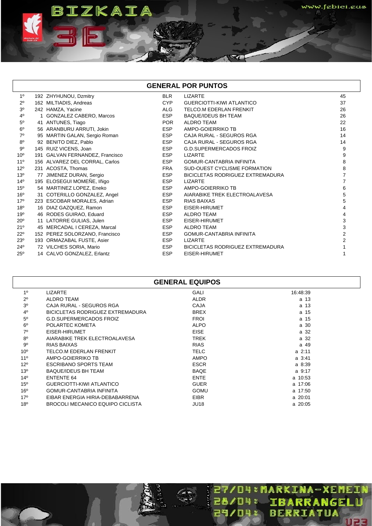|                 | 95888888888888 |                                 |            |                                  |    |  |  |  |  |  |
|-----------------|----------------|---------------------------------|------------|----------------------------------|----|--|--|--|--|--|
| $1^{\circ}$     |                | 192 ZHYHUNOU, Dzmitry           | <b>BLR</b> | <b>LIZARTE</b>                   | 45 |  |  |  |  |  |
| $2^{\circ}$     |                | 162 MILTIADIS, Andreas          | <b>CYP</b> | <b>GUERCIOTTI-KIWI ATLANTICO</b> | 37 |  |  |  |  |  |
| 3 <sup>o</sup>  |                | 242 HAMZA, Yacine               | <b>ALG</b> | TELCO.M EDERLAN FRENKIT          | 26 |  |  |  |  |  |
| $4^{\circ}$     |                | 1 GONZALEZ CABERO, Marcos       | <b>ESP</b> | <b>BAQUE/IDEUS BH TEAM</b>       | 26 |  |  |  |  |  |
| $5^{\circ}$     |                | 41 ANTUNES, Tiago               | <b>POR</b> | <b>ALDRO TEAM</b>                | 22 |  |  |  |  |  |
| $6^{\circ}$     |                | 56 ARANBURU ARRUTI, Jokin       | <b>ESP</b> | AMPO-GOIERRIKO TB                | 16 |  |  |  |  |  |
| $7^\circ$       |                | 95 MARTIN GALAN, Sergio Roman   | <b>ESP</b> | CAJA RURAL - SEGUROS RGA         | 14 |  |  |  |  |  |
| $8^{\circ}$     |                | 92 BENITO DIEZ, Pablo           | <b>ESP</b> | CAJA RURAL - SEGUROS RGA         | 14 |  |  |  |  |  |
| $9^{\circ}$     |                | 145 RUIZ VICENS, Joan           | <b>ESP</b> | <b>G.D.SUPERMERCADOS FROIZ</b>   | 9  |  |  |  |  |  |
| 10 <sup>o</sup> |                | 191 GALVAN FERNANDEZ, Francisco | <b>ESP</b> | <b>LIZARTE</b>                   | 9  |  |  |  |  |  |
| $11^{\circ}$    |                | 156 ALVAREZ DEL CORRAL, Carlos  | <b>ESP</b> | <b>GOMUR-CANTABRIA INFINITA</b>  | 8  |  |  |  |  |  |
| $12^{\circ}$    |                | 231 ACOSTA, Thomas              | <b>FRA</b> | SUD-OUEST CYCLISME FORMATION     | 8  |  |  |  |  |  |
| 13 <sup>°</sup> |                | 77 JIMENEZ DURAN, Sergio        | <b>ESP</b> | BICICLETAS RODRIGUEZ EXTREMADURA |    |  |  |  |  |  |
| $14^{\circ}$    |                | 195 ELOSEGUI MOMEÑE, Iñigo      | <b>ESP</b> | <b>LIZARTE</b>                   |    |  |  |  |  |  |
| $15^{\circ}$    |                | 54 MARTINEZ LOPEZ, Eneko        | <b>ESP</b> | AMPO-GOIERRIKO TB                |    |  |  |  |  |  |
| $16^{\circ}$    |                | 31 COTERILLO GONZALEZ, Angel    | <b>ESP</b> | AIARABIKE TREK ELECTROALAVESA    | 5  |  |  |  |  |  |
| 17 <sup>°</sup> |                | 223 ESCOBAR MORALES, Adrian     | <b>ESP</b> | <b>RIAS BAIXAS</b>               | 5  |  |  |  |  |  |
| 18°             |                | 16 DIAZ GAZQUEZ, Ramon          | <b>ESP</b> | EISER-HIRUMET                    | 4  |  |  |  |  |  |
| 19°             |                | 46 RODES GUIRAO, Eduard         | <b>ESP</b> | <b>ALDRO TEAM</b>                | 4  |  |  |  |  |  |
| $20^{\circ}$    |                | 11 LATORRE GULIAS, Julen        | <b>ESP</b> | EISER-HIRUMET                    | 3  |  |  |  |  |  |
| 21°             |                | 45 MERCADAL I CEREZA, Marcal    | <b>ESP</b> | <b>ALDRO TEAM</b>                | 3  |  |  |  |  |  |
| $22^{\circ}$    |                | 152 PEREZ SOLORZANO, Francisco  | <b>ESP</b> | <b>GOMUR-CANTABRIA INFINITA</b>  | 2  |  |  |  |  |  |
| $23^{\circ}$    |                | 193 ORMAZABAL FUSTE, Asier      | <b>ESP</b> | <b>LIZARTE</b>                   | 2  |  |  |  |  |  |
| $24^{\circ}$    |                | 72 VILCHES SORIA, Mario         | <b>ESP</b> | BICICLETAS RODRIGUEZ EXTREMADURA |    |  |  |  |  |  |
| $25^\circ$      |                | 14 CALVO GONZALEZ, Erlantz      | <b>ESP</b> | EISER-HIRUMET                    |    |  |  |  |  |  |

|                 | <b>GENERAL EQUIPOS</b>                  |             |             |  |  |  |  |  |  |
|-----------------|-----------------------------------------|-------------|-------------|--|--|--|--|--|--|
| 1 <sup>0</sup>  | <b>LIZARTE</b>                          | <b>GALI</b> | 16:48:39    |  |  |  |  |  |  |
| $2^{\circ}$     | ALDRO TEAM                              | <b>ALDR</b> | a 13        |  |  |  |  |  |  |
| 3 <sup>o</sup>  | CAJA RURAL - SEGUROS RGA                | CAJA        | a 13        |  |  |  |  |  |  |
| 4 <sup>0</sup>  | BICICLETAS RODRIGUEZ EXTREMADURA        | <b>BREX</b> | a 15        |  |  |  |  |  |  |
| $5^{\circ}$     | <b>G.D.SUPERMERCADOS FROIZ</b>          | <b>FROI</b> | a 15        |  |  |  |  |  |  |
| $6^{\circ}$     | POLARTEC KOMETA                         | <b>ALPO</b> | a 30        |  |  |  |  |  |  |
| $7^\circ$       | EISER-HIRUMET                           | <b>EISE</b> | a 32        |  |  |  |  |  |  |
| $8^{\circ}$     | AIARABIKE TREK ELECTROALAVESA           | TREK        | a 32        |  |  |  |  |  |  |
| $9^{\circ}$     | RIAS BAIXAS                             | <b>RIAS</b> | a 49        |  |  |  |  |  |  |
| 10 <sup>o</sup> | TELCO.M EDERLAN FRENKIT                 | TELC        | $a \, 2:11$ |  |  |  |  |  |  |
| $11^{\circ}$    | AMPO-GOIERRIKO TB                       | <b>AMPO</b> | $a \, 3:41$ |  |  |  |  |  |  |
| $12^{\circ}$    | <b>ESCRIBANO SPORTS TEAM</b>            | <b>ESCR</b> | a 8:39      |  |  |  |  |  |  |
| 13 <sup>°</sup> | <b>BAQUE/IDEUS BH TEAM</b>              | <b>BAQE</b> | a 9:17      |  |  |  |  |  |  |
| $14^{\circ}$    | <b>ENTENTE 64</b>                       | <b>ENTE</b> | a 10:53     |  |  |  |  |  |  |
| 15°             | <b>GUERCIOTTI-KIWI ATLANTICO</b>        | <b>GUER</b> | a 17:06     |  |  |  |  |  |  |
| 16°             | <b>GOMUR-CANTABRIA INFINITA</b>         | <b>GOMU</b> | a 17:50     |  |  |  |  |  |  |
| 17°             | EIBAR ENERGIA HIRIA-DEBABARRENA         | <b>EIBR</b> | a 20:01     |  |  |  |  |  |  |
| 18 <sup>o</sup> | <b>BROCOLI MECANICO EQUIPO CICLISTA</b> | <b>JU18</b> | a 20:05     |  |  |  |  |  |  |

27/04: MARKINA-XEMEIN

28/04: IBARRANGELU

**LOSO** 

### **GENERAL POR PUNTOS**

BIZKAIA

 $\lfloor$ 

www.fgbici.gas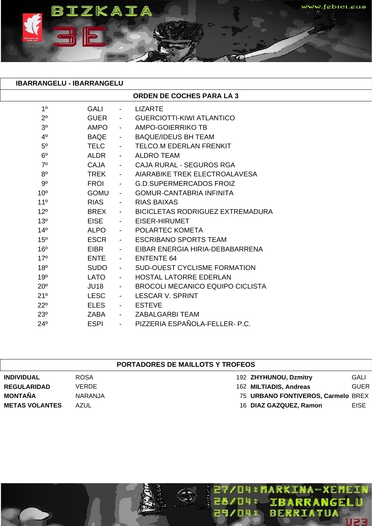**IBARRANGELU - IBARRANGELU**

BIZKAIA

| <b>ORDEN DE COCHES PARA LA 3</b> |             |                          |                                         |  |  |
|----------------------------------|-------------|--------------------------|-----------------------------------------|--|--|
| 1 <sup>0</sup>                   | <b>GALI</b> | $\overline{\phantom{a}}$ | <b>LIZARTE</b>                          |  |  |
| $2^{\circ}$                      | <b>GUER</b> |                          | <b>GUERCIOTTI-KIWI ATLANTICO</b>        |  |  |
| 3 <sup>0</sup>                   | <b>AMPO</b> |                          | AMPO-GOIERRIKO TB                       |  |  |
| 4 <sup>0</sup>                   | <b>BAQE</b> |                          | <b>BAQUE/IDEUS BH TEAM</b>              |  |  |
| 5 <sup>0</sup>                   | <b>TELC</b> |                          | <b>TELCO.M EDERLAN FRENKIT</b>          |  |  |
| 6 <sup>o</sup>                   | <b>ALDR</b> |                          | <b>ALDRO TEAM</b>                       |  |  |
| $7^\circ$                        | <b>CAJA</b> |                          | CAJA RURAL - SEGUROS RGA                |  |  |
| 8 <sup>o</sup>                   | <b>TREK</b> |                          | AIARABIKE TREK ELECTROALAVESA           |  |  |
| $9^{\circ}$                      | <b>FROI</b> |                          | <b>G.D.SUPERMERCADOS FROIZ</b>          |  |  |
| 10 <sup>o</sup>                  | <b>GOMU</b> | $\overline{\phantom{a}}$ | <b>GOMUR-CANTABRIA INFINITA</b>         |  |  |
| 11 <sup>°</sup>                  | <b>RIAS</b> | $\blacksquare$           | <b>RIAS BAIXAS</b>                      |  |  |
| 12°                              | <b>BREX</b> | $\overline{\phantom{a}}$ | <b>BICICLETAS RODRIGUEZ EXTREMADURA</b> |  |  |
| 13 <sup>°</sup>                  | <b>EISE</b> | $\overline{\phantom{0}}$ | EISER-HIRUMET                           |  |  |
| 14 <sup>°</sup>                  | <b>ALPO</b> | $\overline{\phantom{0}}$ | POLARTEC KOMETA                         |  |  |
| 15 <sup>o</sup>                  | <b>ESCR</b> | $\blacksquare$           | <b>ESCRIBANO SPORTS TEAM</b>            |  |  |
| 16 <sup>o</sup>                  | <b>EIBR</b> | $\overline{\phantom{a}}$ | EIBAR ENERGIA HIRIA-DEBABARRENA         |  |  |
| 17 <sup>°</sup>                  | <b>ENTE</b> | $\overline{\phantom{a}}$ | <b>ENTENTE 64</b>                       |  |  |
| 18 <sup>o</sup>                  | <b>SUDO</b> | $\overline{\phantom{a}}$ | <b>SUD-OUEST CYCLISME FORMATION</b>     |  |  |
| 19 <sup>o</sup>                  | <b>LATO</b> | $\overline{\phantom{a}}$ | <b>HOSTAL LATORRE EDERLAN</b>           |  |  |
| $20^{\circ}$                     | <b>JU18</b> | $\overline{\phantom{a}}$ | <b>BROCOLI MECANICO EQUIPO CICLISTA</b> |  |  |
| 21°                              | <b>LESC</b> |                          | <b>LESCAR V. SPRINT</b>                 |  |  |
| $22^{\circ}$                     | <b>ELES</b> | $\overline{\phantom{a}}$ | <b>ESTEVE</b>                           |  |  |
| $23^\circ$                       | <b>ZABA</b> |                          | ZABALGARBI TEAM                         |  |  |
| $24^{\circ}$                     | <b>ESPI</b> |                          | PIZZERIA ESPAÑOLA-FELLER- P.C.          |  |  |
|                                  |             |                          |                                         |  |  |

| <b>PORTADORES DE MAILLOTS Y TROFEOS</b> |              |                                    |             |  |  |  |  |
|-----------------------------------------|--------------|------------------------------------|-------------|--|--|--|--|
| <b>INDIVIDUAL</b>                       | <b>ROSA</b>  | 192 ZHYHUNOU, Dzmitry              | GALI        |  |  |  |  |
| <b>REGULARIDAD</b>                      | <b>VERDE</b> | 162 MILTIADIS, Andreas             | <b>GUER</b> |  |  |  |  |
| <b>MONTAÑA</b>                          | NARANJA      | 75 URBANO FONTIVEROS, Carmelo BREX |             |  |  |  |  |
| <b>METAS VOLANTES</b>                   | <b>AZUL</b>  | 16 DIAZ GAZQUEZ, Ramon             | <b>EISE</b> |  |  |  |  |
|                                         |              |                                    |             |  |  |  |  |



www.febici.eas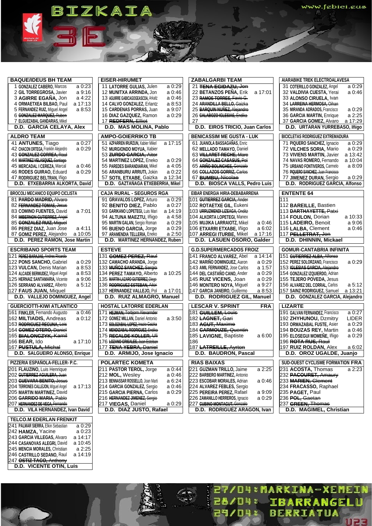ARKINA-XEMEIN

**DES** 

IBARRANGELU

BERRIATUA

1g ă.

П

**28/04:** 

29/04:

| <b>BAQUE/IDEUS BH TEAM</b>                                          | <b>EISER-HIRUMET</b>                                                 | <b>ZABALGARBI TEAM</b>                                      | AIARABIKE TREK ELECTROALAVESA                                                    |
|---------------------------------------------------------------------|----------------------------------------------------------------------|-------------------------------------------------------------|----------------------------------------------------------------------------------|
| a 0:23<br>1 GONZALEZ CABERO, Marcos                                 | a 0:29<br>11 LATORRE GULIAS, Julen                                   | 21 TENA EGIDAZU, Jon                                        | a 0:29<br>31 COTERILLO GONZALEZ, Angel                                           |
| a 9:16<br>2 GIL TORREGROSA, Javier                                  | a 0:46<br>12 MUNITXA ARRINDA, Jon                                    | 22 BETANZOS PEÑA, Erik<br>a 17:01                           | a 0:46<br>32 VALDIVIA CUESTA, Yerai                                              |
| a 4:22<br>3 AGIRRE EGAÑA, Jon                                       | a 0:46<br>13 AGUIRRE GABICAGOGEASCOA, Arkaitz                        | 23 RAMOS TORRES, Favio G.                                   | 33 ALONSO CIRUELA, Ivan                                                          |
| 4 ORMAETXEA BILBAO, Paul<br>a 17:13<br>a 8:53                       | 14 CALVO GONZALEZ, Erlantz<br>a 8:53                                 | 24 ARANDILLA BELLO, Gaizka<br>25 BARQUIN NUÑEZ, Alejandre   | 34 LARREINA HERMOSA, Oihan<br>a 0:29                                             |
| 5 FERNANDEZ RUIZ, Miguel Angel<br>6 GONZALEZ MARQUEZ, Ruben         | 15 CARDENAS PORRAS, Juan<br>a 9:07<br>a 0:29                         |                                                             | 35 MIRANDA ADRADOS, Francisco<br>a 2:25                                          |
| 7 ELGUEZABAL GANDARIAS, Mikel                                       | 16 DIAZ GAZQUEZ, Ramon<br>17 REDFERN, Elliot                         | 26 CALABOZO IGLESIAS, Endika<br>27                          | 36 GARCIA MARTIN, Enrique<br>a 17:29<br>37 GARCIA GOMEZ, Alvaro                  |
| D.D. GARCIA CELAYA, Alex                                            | D.D. MAS MOLINA, Pablo                                               | D.D. EIROS TRICIO, Juan Carlos                              | D.D. URTARAN YURREBASO, Iñigo                                                    |
|                                                                     | <b>AMPO-GOIERRIKO TB</b>                                             | <b>BENICASSIM ME GUSTA - LUK</b>                            |                                                                                  |
| <b>ALDRO TEAM</b><br>a 0:27                                         | a 17:15<br>51 AZPARREN IRURZUN, Xabier Mikel                         | 61 JUANOLA BASSAGAÑAS, Enric                                | <b>BICICLETAS RODRIGUEZ EXTREMADURA</b><br>a 0:29<br>71 PIQUERO SANCHEZ, Ignacio |
| 41 ANTUNES, Tiago<br>a 0:29<br>42 CHACON ORTEGA, Franklin Alejandro |                                                                      | 62 MELLADO TAMAYO, Daniel                                   | a 0:29                                                                           |
| 43 GONZALEZ CORREA, Raul                                            | 52 MURGIONDO MOYUA, Xabier<br>53 ZURDO GARCIA, Aitor                 | 63 VILLARET RECHE, Mare                                     | 72 VILCHES SORIA, Mario<br>a 13:42<br>73 VIVIENS MARTIN, Javier                  |
| 44 MARTINEZ VELASQUEZ, Santiago                                     | a 0:29<br>54 MARTINEZ LOPEZ, Eneko                                   | 64 GONZALEZ CASASUS, Pol                                    | a 10:04<br>74 NAVAS ROMERO, Fernando                                             |
| a 0:46<br>45 MERCADAL I CEREZA, Marcal                              | a 4:05<br>55 PAREDES BARANDIARAN, Mikel                              | 65 ARIÑO BOLINCHES, Gonzalo                                 | a 8:09<br>75 URBANO FONTIVEROS, Carmelo                                          |
| a 0:29<br>46 RODES GUIRAO, Eduard                                   | a 0:22<br>56 ARANBURU ARRUTI, Jokin                                  | 66 COLLAZOS GORRIZ, Carlos                                  | 76 PIQUERO SANCHEZ, Juan Francisco                                               |
| 47 RODRIGUEZ BELTRAN, Iñigo                                         | a 12:34<br>57 SOTIL ETXABE, Gaizka                                   | 67 BUMBU, Nicolae                                           | a 0:29<br>77 JIMENEZ DURAN, Sergio                                               |
| D.D. ETXEBARRIA ALKORTA, David                                      | D.D. GAZTAÑAGA ETXEBERRIA, Mikel                                     | D.D. BIOSCA VALLS, Pedro Luis                               | D.D. RODRIGUEZ GARCIA, Alfonso                                                   |
|                                                                     |                                                                      |                                                             |                                                                                  |
| <b>BROCOLI MECANICO EQUIPO CICLISTA</b>                             | <b>CAJA RURAL - SEGUROS RGA</b>                                      | EIBAR ENERGIA HIRIA-DEBABARRENA                             | <b>ENTENTE 64</b><br>111                                                         |
| 81 PARDO MADRID, Alvaro                                             | a 0:29<br>91 GRAVALOS LOPEZ, Arturo<br>a 0:27                        | 101 GUTIERREZ GARCIA, Ander<br>102 ROTAETXE GIL, Eukeni     |                                                                                  |
| 82 FERNANDEZ TOMAS, Jesus<br>a 7:01                                 | 92 BENITO DIEZ, Pablo<br>a 14:19                                     | 103 URRUZMENDI LIZEAGA, Onditz                              | 112 BAREILLE, Bastien                                                            |
| 83 COMINO FUENTES, David<br>84 IMBERNON GUTIERREZ, Angel            | 93 GARIKANO LOPETEGI, Luis Mari<br>a 4:58<br>94 ALTUNA MAEZTU, Iñigo | 104 ALKORTA LOPETEGI, Manex                                 | 113 DARTHAYETTE, Patxi<br>a 10:33<br>114 FOULON, Dorian                          |
| 85 GONZALEZ RUIZ, Miguel                                            | 95 MARTIN GALAN, Sergio Roman<br>a 0:29                              | 105 MUJIKA LARRAIOTZ, Mikel<br>a 0:46                       | a 9:06<br>115 LADEIRO. Benoit                                                    |
| a 4:11<br>86 PEREZ DIAZ, Juan Jose                                  | 96 BUENO GARCIA, Jorge<br>a 0:29                                     | a 6:02<br>106 ETXARRI ETXABE, Iñigo                         | 116 LALBA, Clement<br>a 0:46                                                     |
| 87 GOMIZ PEREZ, Alejandro<br>a 10:05                                | a 2:50<br>97 ARAMENDIA TELLERIA, Eneko                               | 107 ARREGI ITURBE, Mikel<br>a 17:16                         | 117 PELLETRAT, Jon                                                               |
| D.D. PEREZ RAMON, Jose Martin                                       | D.D. MARTINEZ HERNANDEZ. Ruben                                       | D.D. LASUEN OSORO, Galder                                   | D.D. DHINNIN, Mickael                                                            |
|                                                                     |                                                                      |                                                             |                                                                                  |
| <b>ESCRIBANO SPORTS TEAM</b>                                        | <b>ESTEVE</b>                                                        | <b>G.D.SUPERMERCADOS FROIZ</b><br>a 14:14                   | <b>GOMUR-CANTABRIA INFINITA</b>                                                  |
| 121 PEREZ BARAJAS, Andres Ricardo<br>a 0:29                         | 131 GOMEZ PEREZ, Raul<br>132 CAMACHO ARANDA, Jorge                   | 141 FRANCO ALVAREZ, Abel                                    | 151 GUTIERREZ ALBA, Alfonse<br>a 0:29                                            |
| 122 PONS SANCHO, Gabriel                                            |                                                                      |                                                             |                                                                                  |
|                                                                     |                                                                      | 142 MARIÑO DOMINGUEZ, Aaron<br>a 0:29                       | 152 PEREZ SOLORZANO, Francisco                                                   |
| a 8:53<br>123 VULCAN, Denis Marian                                  | 133 MUNOZ SANCHEZ, Sergio                                            | 143 AMIL FERNANDEZ, Jose Carlos<br>a 1:57                   | 153 IGLESIAS GARCIA, Alejandro                                                   |
| 124 ALCAIDE BERMUDEZ, Miguel Angel<br>a 8:53                        | 134 PEREZ TAMAYO, Alberto<br>a 10:25                                 | a 0:29<br>144 DEL CASTAÑO CANO, Ander                       | 154 GONZALEZ IZQUIERDO, Adrian                                                   |
| 125 HERNAIZ SANTAMARIA, Vicente<br>a 9:06                           | 135 MARTIN-LAZARO GUTIERREZ, Diego                                   | a 0:29<br>145 RUIZ VICENS, Joan                             | 155 TEJERO POVEDA, Jesus                                                         |
| a 5:12<br>126 SERRANO ALVAREZ, Alberto                              | 136 RODRIGUEZ ESTEBAN, Aitor                                         | a 9:27<br>146 MONTERO NOYA, Miguel                          | a 5:12<br>156 ALVAREZ DEL CORRAL, Carlos                                         |
| 127 FAUS JUAN, Miquel                                               | a 17:01<br>137 HERNANDEZ VALLEJO, Pol                                | 147 GARCIA JANEIRO, Guillermo<br>a 8:53                     | a 13:21<br>157 SAINZ RODRIGUEZ, Samuel                                           |
| D.D. VALLEJO DOMINGUEZ, Angel                                       | D.D. RUIZ ALMAGRO, Manuel                                            | D.D. RODRIGUEZ GIL, Manuel                                  | D.D. GONZALEZ GARCIA, Alejandro                                                  |
| <b>GUERCIOTTI-KIWI ATLANTICO</b>                                    | HOSTAL LATORRE EDERLAN                                               | <b>LESCAR V. SPRINT</b><br><b>FRA</b>                       | <b>LIZARTE</b>                                                                   |
| a 0:46<br>161 FINKLER, Fernando Augusto                             | 171 HEJMAN, Torbjorn Alexarnder                                      | 181 GUILLEM, Louis                                          | a 0:27<br>191 GALVAN FERNANDEZ, Francisco                                        |
| 162 MILTIADIS, Andreas<br>a 0:12                                    | a 3:50<br>172 GOMEZ MILLAN, Daniel Antonio                           | 182 <del>LAGNET, Gari</del>                                 | <b>LIDER</b><br>192 ZHYHUNOU, Dzmitry                                            |
| 163 RODRIGUEZ RECUNA, Lois                                          | 173 SOLOZABAL LOPEZ, Inazio Gaizka                                   | 183 AGUT, Maxime                                            | a 0:29<br>193 ORMAZABAL FUSTE, Asier                                             |
| 164 GOMEZ OTERO, Daniel                                             | 174 MENDIZABAL RODRIGUEZ, Endika                                     | 184 <b>CARMOUZE, Quentin</b>                                | a 0:46<br>194 BOUZAS REY, Martin                                                 |
| 165 BIALONCZYK, Kamil                                               | 175 RECALDE KOLLER. UH                                               | 185 LAVIGNE, Baptiste<br>a 6:00                             | a 0:29<br>195 ELOSEGUI MOMEÑE, Iñigo                                             |
| $166$ BEAR, $Ido$<br>a 17:10                                        | 176 LOZANO GRISALES, Juan Esteban                                    | 186                                                         | 196 <del>ROTA RUS, Raul</del>                                                    |
| 167 PUSTULA, Michal                                                 | 177 <del>TENA YEBRA, Daniel</del>                                    | 187 LATREILLE, Ayrton                                       | a 6:02<br>197 <b>RUIZ ROLDAN</b> , Alex                                          |
| D.D. SALGUEIRO ALONSO, Enrique                                      | D.D. ARMIJO, Jose Ignacio                                            | D.D.  BAUDRON, Pascal                                       | D.D.  OROZ UGALDE, Juanjo                                                        |
| PIZZERIA ESPAÑOLA-FELLER- P.C.                                      | <b>POLARTEC KOMETA</b>                                               | <b>RIAS BAIXAS</b>                                          | SUD-OUEST CYCLISME FORMATION FRA                                                 |
| 201 FLAUZINO, Luis Henrique                                         | a 0:44<br>211 PASTOR TEROL, Jorge                                    | a 2:25<br>221 GUZMAN TRILLO, Jaime                          | 231 ACOSTA, Thomas<br>a 2:23                                                     |
| 202 GUTIERREZ AGUILERA, Juan                                        | a 0:46<br>212 <b>MOL,</b> Wesley                                     | 222 BARBERO MARTINEZ, Antonio                               | 232 PACOURET, Amaury                                                             |
| 203 GUEVARA BENITO, Jesus                                           | 213 BENNASSAR ROSSELLO, Joan Marti<br>a 6:24                         | a 0:46<br>223 ESCOBAR MORALES, Adrian                       | 233 MARIEN, Clement                                                              |
| a 17:13<br>204 TERRONES CALLEJON, Miguel Angel                      | 214 GARCIA GONZALEZ, Sergio<br>a 0:46                                | 224 ALVAREZ FEBLES, Sergio                                  | 234 FRACASSO, Raphael                                                            |
| 205 MARTIN MARTINEZ, David                                          | 215 GARCIA PIERNA, Carlos<br>a 0:29                                  | a 9:09<br>225 PEREIRA PEREZ, Rafael                         | 235 PAGET, Paul                                                                  |
| 206 GARRIDO MARIA, Pablo                                            | 216 HERNANDEZ JIMENEZ, Sergio                                        | 226 ZAMANILLO HERREROS, Ignacio<br>a 0:29                   | 236 <del>POL, Gaetan</del>                                                       |
| 207 HERNANDEZ DE VEGA, Fernando<br>D.D. VILA HERNANDEZ, Ivan David  | a 0:29<br>217 VIEGAS, Daniel<br>D.D. DIAZ JUSTO, Rafael              | 227 CUBINO MONTAGUT, Gonzalo<br>D.D. RODRIGUEZ ARAGON, Ivan | 237 GREEN, Thomas<br>D.D. MAGIMEL, Christian                                     |

**RANDA** 

en e d'an

BIZKAIA

3 E

K

| <b>TELCO.M EDERLAN FRENKIT</b>     |         |  |  |  |  |  |
|------------------------------------|---------|--|--|--|--|--|
| 241 PALMAR SIERRA, Elkin Sebastian | a 0:29  |  |  |  |  |  |
| 242 HAMZA, Yacine                  | a 0:23  |  |  |  |  |  |
| 243 GARCIA VILLEGAS, Alvaro        | a 14:17 |  |  |  |  |  |
| 244 CASANOVAS ALEGRI, David        | a 10:45 |  |  |  |  |  |
| 245 MENCIA MORALES, Christian      | a 2:25  |  |  |  |  |  |
| 246 CASTRILLO SEDANO, Raul         | a 14:19 |  |  |  |  |  |
| 247 OSTIZ TACO, Anthony            |         |  |  |  |  |  |
| <b>D.D. VICENTE OTIN. Luis</b>     |         |  |  |  |  |  |